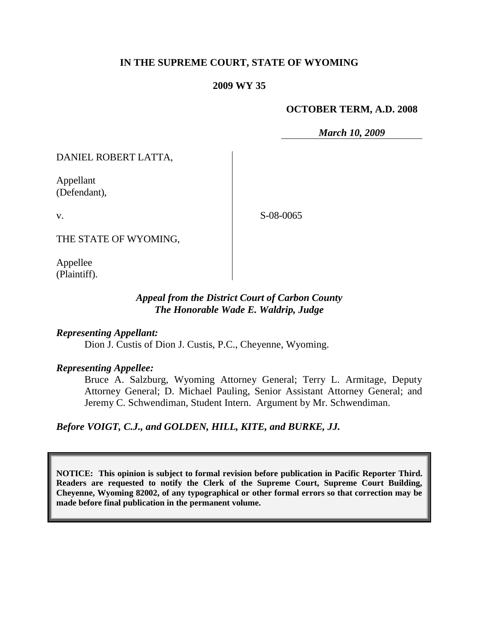### **IN THE SUPREME COURT, STATE OF WYOMING**

#### **2009 WY 35**

### **OCTOBER TERM, A.D. 2008**

*March 10, 2009*

DANIEL ROBERT LATTA,

Appellant (Defendant),

v.

S-08-0065

THE STATE OF WYOMING,

Appellee (Plaintiff).

### *Appeal from the District Court of Carbon County The Honorable Wade E. Waldrip, Judge*

*Representing Appellant:*

Dion J. Custis of Dion J. Custis, P.C., Cheyenne, Wyoming.

#### *Representing Appellee:*

Bruce A. Salzburg, Wyoming Attorney General; Terry L. Armitage, Deputy Attorney General; D. Michael Pauling, Senior Assistant Attorney General; and Jeremy C. Schwendiman, Student Intern. Argument by Mr. Schwendiman.

*Before VOIGT, C.J., and GOLDEN, HILL, KITE, and BURKE, JJ.*

**NOTICE: This opinion is subject to formal revision before publication in Pacific Reporter Third. Readers are requested to notify the Clerk of the Supreme Court, Supreme Court Building, Cheyenne, Wyoming 82002, of any typographical or other formal errors so that correction may be made before final publication in the permanent volume.**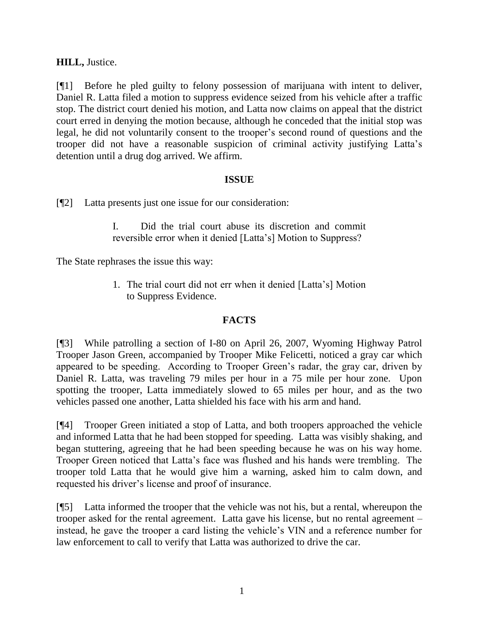# **HILL,** Justice.

[¶1] Before he pled guilty to felony possession of marijuana with intent to deliver, Daniel R. Latta filed a motion to suppress evidence seized from his vehicle after a traffic stop. The district court denied his motion, and Latta now claims on appeal that the district court erred in denying the motion because, although he conceded that the initial stop was legal, he did not voluntarily consent to the trooper"s second round of questions and the trooper did not have a reasonable suspicion of criminal activity justifying Latta"s detention until a drug dog arrived. We affirm.

# **ISSUE**

[¶2] Latta presents just one issue for our consideration:

I. Did the trial court abuse its discretion and commit reversible error when it denied [Latta"s] Motion to Suppress?

The State rephrases the issue this way:

1. The trial court did not err when it denied [Latta"s] Motion to Suppress Evidence.

# **FACTS**

[¶3] While patrolling a section of I-80 on April 26, 2007, Wyoming Highway Patrol Trooper Jason Green, accompanied by Trooper Mike Felicetti, noticed a gray car which appeared to be speeding. According to Trooper Green"s radar, the gray car, driven by Daniel R. Latta, was traveling 79 miles per hour in a 75 mile per hour zone. Upon spotting the trooper, Latta immediately slowed to 65 miles per hour, and as the two vehicles passed one another, Latta shielded his face with his arm and hand.

[¶4] Trooper Green initiated a stop of Latta, and both troopers approached the vehicle and informed Latta that he had been stopped for speeding. Latta was visibly shaking, and began stuttering, agreeing that he had been speeding because he was on his way home. Trooper Green noticed that Latta"s face was flushed and his hands were trembling. The trooper told Latta that he would give him a warning, asked him to calm down, and requested his driver"s license and proof of insurance.

[¶5] Latta informed the trooper that the vehicle was not his, but a rental, whereupon the trooper asked for the rental agreement. Latta gave his license, but no rental agreement – instead, he gave the trooper a card listing the vehicle"s VIN and a reference number for law enforcement to call to verify that Latta was authorized to drive the car.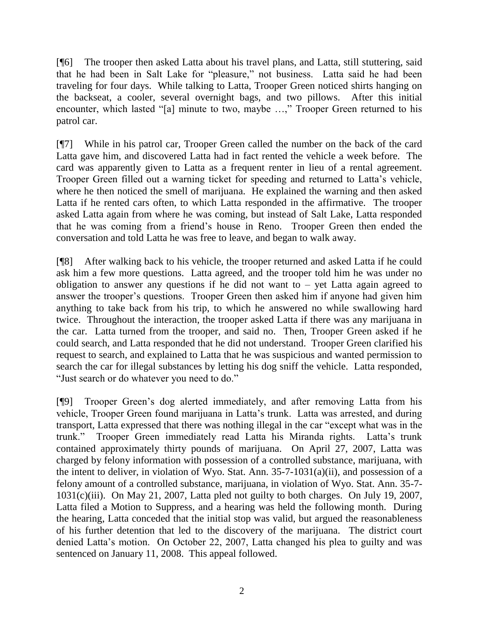[¶6] The trooper then asked Latta about his travel plans, and Latta, still stuttering, said that he had been in Salt Lake for "pleasure," not business. Latta said he had been traveling for four days. While talking to Latta, Trooper Green noticed shirts hanging on the backseat, a cooler, several overnight bags, and two pillows. After this initial encounter, which lasted "[a] minute to two, maybe ...," Trooper Green returned to his patrol car.

[¶7] While in his patrol car, Trooper Green called the number on the back of the card Latta gave him, and discovered Latta had in fact rented the vehicle a week before. The card was apparently given to Latta as a frequent renter in lieu of a rental agreement. Trooper Green filled out a warning ticket for speeding and returned to Latta"s vehicle, where he then noticed the smell of marijuana. He explained the warning and then asked Latta if he rented cars often, to which Latta responded in the affirmative. The trooper asked Latta again from where he was coming, but instead of Salt Lake, Latta responded that he was coming from a friend"s house in Reno. Trooper Green then ended the conversation and told Latta he was free to leave, and began to walk away.

[¶8] After walking back to his vehicle, the trooper returned and asked Latta if he could ask him a few more questions. Latta agreed, and the trooper told him he was under no obligation to answer any questions if he did not want to  $-$  yet Latta again agreed to answer the trooper"s questions. Trooper Green then asked him if anyone had given him anything to take back from his trip, to which he answered no while swallowing hard twice. Throughout the interaction, the trooper asked Latta if there was any marijuana in the car. Latta turned from the trooper, and said no. Then, Trooper Green asked if he could search, and Latta responded that he did not understand. Trooper Green clarified his request to search, and explained to Latta that he was suspicious and wanted permission to search the car for illegal substances by letting his dog sniff the vehicle. Latta responded, "Just search or do whatever you need to do."

[¶9] Trooper Green"s dog alerted immediately, and after removing Latta from his vehicle, Trooper Green found marijuana in Latta"s trunk. Latta was arrested, and during transport, Latta expressed that there was nothing illegal in the car "except what was in the trunk." Trooper Green immediately read Latta his Miranda rights. Latta"s trunk contained approximately thirty pounds of marijuana. On April 27, 2007, Latta was charged by felony information with possession of a controlled substance, marijuana, with the intent to deliver, in violation of Wyo. Stat. Ann. 35-7-1031(a)(ii), and possession of a felony amount of a controlled substance, marijuana, in violation of Wyo. Stat. Ann. 35-7-  $1031(c)(iii)$ . On May 21, 2007, Latta pled not guilty to both charges. On July 19, 2007, Latta filed a Motion to Suppress, and a hearing was held the following month. During the hearing, Latta conceded that the initial stop was valid, but argued the reasonableness of his further detention that led to the discovery of the marijuana. The district court denied Latta"s motion. On October 22, 2007, Latta changed his plea to guilty and was sentenced on January 11, 2008. This appeal followed.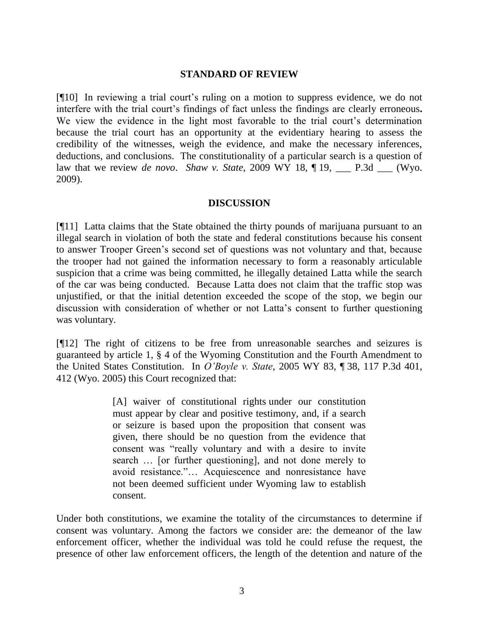### **STANDARD OF REVIEW**

[¶10] In reviewing a trial court"s ruling on a motion to suppress evidence, we do not interfere with the trial court's findings of fact unless the findings are clearly erroneous. We view the evidence in the light most favorable to the trial court's determination because the trial court has an opportunity at the evidentiary hearing to assess the credibility of the witnesses, weigh the evidence, and make the necessary inferences, deductions, and conclusions. The constitutionality of a particular search is a question of law that we review *de novo*. *Shaw v. State*, 2009 WY 18, ¶ 19, \_\_\_ P.3d \_\_\_ (Wyo. 2009).

### **DISCUSSION**

[¶11] Latta claims that the State obtained the thirty pounds of marijuana pursuant to an illegal search in violation of both the state and federal constitutions because his consent to answer Trooper Green"s second set of questions was not voluntary and that, because the trooper had not gained the information necessary to form a reasonably articulable suspicion that a crime was being committed, he illegally detained Latta while the search of the car was being conducted. Because Latta does not claim that the traffic stop was unjustified, or that the initial detention exceeded the scope of the stop, we begin our discussion with consideration of whether or not Latta"s consent to further questioning was voluntary.

[¶12] The right of citizens to be free from unreasonable searches and seizures is guaranteed by article 1, § 4 of the Wyoming Constitution and the Fourth Amendment to the United States Constitution. In *O'Boyle v. State*, 2005 WY 83, ¶ 38, 117 P.3d 401, 412 (Wyo. 2005) this Court recognized that:

> [A] waiver of constitutional rights under our constitution must appear by clear and positive testimony, and, if a search or seizure is based upon the proposition that consent was given, there should be no question from the evidence that consent was "really voluntary and with a desire to invite search … [or further questioning], and not done merely to avoid resistance."… Acquiescence and nonresistance have not been deemed sufficient under Wyoming law to establish consent.

Under both constitutions, we examine the totality of the circumstances to determine if consent was voluntary. Among the factors we consider are: the demeanor of the law enforcement officer, whether the individual was told he could refuse the request, the presence of other law enforcement officers, the length of the detention and nature of the